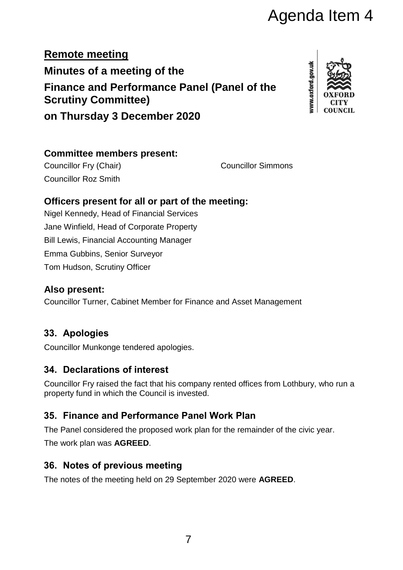# Agenda Item 4

**Remote meeting Minutes of a meeting of the Finance and Performance Panel (Panel of the Scrutiny Committee) on Thursday 3 December 2020**



#### **Committee members present:**

Councillor Fry (Chair) Councillor Simmons Councillor Roz Smith

#### **Officers present for all or part of the meeting:**

Nigel Kennedy, Head of Financial Services Jane Winfield, Head of Corporate Property Bill Lewis, Financial Accounting Manager Emma Gubbins, Senior Surveyor Tom Hudson, Scrutiny Officer

#### **Also present:**

Councillor Turner, Cabinet Member for Finance and Asset Management

## **33. Apologies**

Councillor Munkonge tendered apologies.

#### **34. Declarations of interest**

Councillor Fry raised the fact that his company rented offices from Lothbury, who run a property fund in which the Council is invested.

### **35. Finance and Performance Panel Work Plan**

The Panel considered the proposed work plan for the remainder of the civic year.

The work plan was **AGREED**.

### **36. Notes of previous meeting**

The notes of the meeting held on 29 September 2020 were **AGREED**.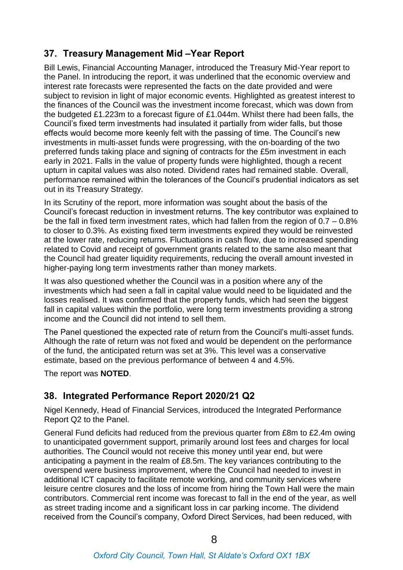#### **37. Treasury Management Mid –Year Report**

Bill Lewis, Financial Accounting Manager, introduced the Treasury Mid-Year report to the Panel. In introducing the report, it was underlined that the economic overview and interest rate forecasts were represented the facts on the date provided and were subject to revision in light of major economic events. Highlighted as greatest interest to the finances of the Council was the investment income forecast, which was down from the budgeted £1.223m to a forecast figure of £1.044m. Whilst there had been falls, the Council's fixed term investments had insulated it partially from wider falls, but those effects would become more keenly felt with the passing of time. The Council's new investments in multi-asset funds were progressing, with the on-boarding of the two preferred funds taking place and signing of contracts for the £5m investment in each early in 2021. Falls in the value of property funds were highlighted, though a recent upturn in capital values was also noted. Dividend rates had remained stable. Overall, performance remained within the tolerances of the Council's prudential indicators as set out in its Treasury Strategy.

In its Scrutiny of the report, more information was sought about the basis of the Council's forecast reduction in investment returns. The key contributor was explained to be the fall in fixed term investment rates, which had fallen from the region of 0.7 – 0.8% to closer to 0.3%. As existing fixed term investments expired they would be reinvested at the lower rate, reducing returns. Fluctuations in cash flow, due to increased spending related to Covid and receipt of government grants related to the same also meant that the Council had greater liquidity requirements, reducing the overall amount invested in higher-paying long term investments rather than money markets.

It was also questioned whether the Council was in a position where any of the investments which had seen a fall in capital value would need to be liquidated and the losses realised. It was confirmed that the property funds, which had seen the biggest fall in capital values within the portfolio, were long term investments providing a strong income and the Council did not intend to sell them.

The Panel questioned the expected rate of return from the Council's multi-asset funds. Although the rate of return was not fixed and would be dependent on the performance of the fund, the anticipated return was set at 3%. This level was a conservative estimate, based on the previous performance of between 4 and 4.5%.

The report was **NOTED**.

#### **38. Integrated Performance Report 2020/21 Q2**

Nigel Kennedy, Head of Financial Services, introduced the Integrated Performance Report Q2 to the Panel.

General Fund deficits had reduced from the previous quarter from £8m to £2.4m owing to unanticipated government support, primarily around lost fees and charges for local authorities. The Council would not receive this money until year end, but were anticipating a payment in the realm of £8.5m. The key variances contributing to the overspend were business improvement, where the Council had needed to invest in additional ICT capacity to facilitate remote working, and community services where leisure centre closures and the loss of income from hiring the Town Hall were the main contributors. Commercial rent income was forecast to fall in the end of the year, as well as street trading income and a significant loss in car parking income. The dividend received from the Council's company, Oxford Direct Services, had been reduced, with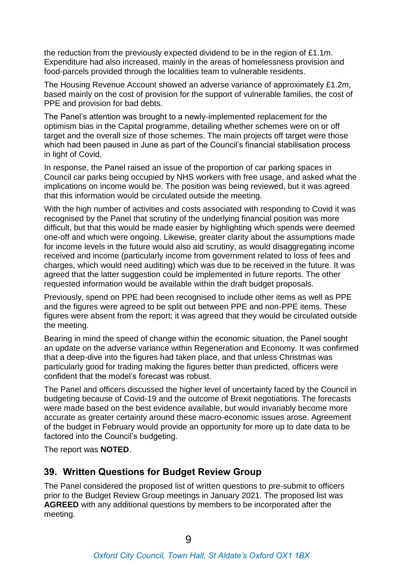the reduction from the previously expected dividend to be in the region of £1.1m. Expenditure had also increased, mainly in the areas of homelessness provision and food-parcels provided through the localities team to vulnerable residents.

The Housing Revenue Account showed an adverse variance of approximately £1.2m, based mainly on the cost of provision for the support of vulnerable families, the cost of PPE and provision for bad debts.

The Panel's attention was brought to a newly-implemented replacement for the optimism bias in the Capital programme, detailing whether schemes were on or off target and the overall size of those schemes. The main projects off target were those which had been paused in June as part of the Council's financial stabilisation process in light of Covid.

In response, the Panel raised an issue of the proportion of car parking spaces in Council car parks being occupied by NHS workers with free usage, and asked what the implications on income would be. The position was being reviewed, but it was agreed that this information would be circulated outside the meeting.

With the high number of activities and costs associated with responding to Covid it was recognised by the Panel that scrutiny of the underlying financial position was more difficult, but that this would be made easier by highlighting which spends were deemed one-off and which were ongoing. Likewise, greater clarity about the assumptions made for income levels in the future would also aid scrutiny, as would disaggregating income received and income (particularly income from government related to loss of fees and charges, which would need auditing) which was due to be received in the future. It was agreed that the latter suggestion could be implemented in future reports. The other requested information would be available within the draft budget proposals.

Previously, spend on PPE had been recognised to include other items as well as PPE and the figures were agreed to be split out between PPE and non-PPE items. These figures were absent from the report; it was agreed that they would be circulated outside the meeting.

Bearing in mind the speed of change within the economic situation, the Panel sought an update on the adverse variance within Regeneration and Economy. It was confirmed that a deep-dive into the figures had taken place, and that unless Christmas was particularly good for trading making the figures better than predicted, officers were confident that the model's forecast was robust.

The Panel and officers discussed the higher level of uncertainty faced by the Council in budgeting because of Covid-19 and the outcome of Brexit negotiations. The forecasts were made based on the best evidence available, but would invariably become more accurate as greater certainty around these macro-economic issues arose. Agreement of the budget in February would provide an opportunity for more up to date data to be factored into the Council's budgeting.

The report was **NOTED**.

#### **39. Written Questions for Budget Review Group**

The Panel considered the proposed list of written questions to pre-submit to officers prior to the Budget Review Group meetings in January 2021. The proposed list was **AGREED** with any additional questions by members to be incorporated after the meeting.